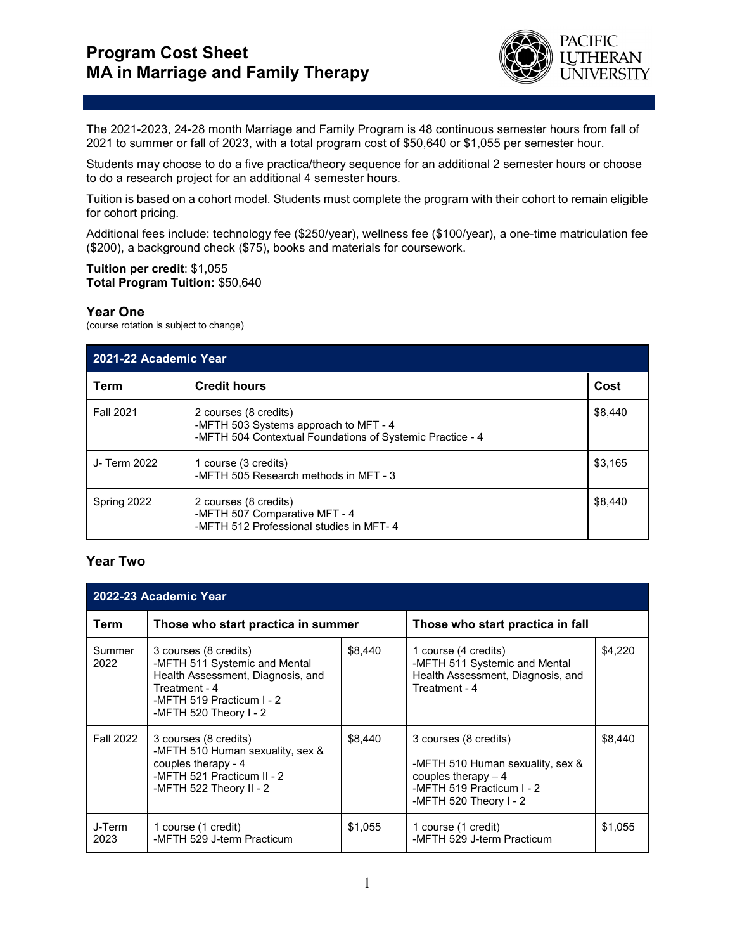

The 2021-2023, 24-28 month Marriage and Family Program is 48 continuous semester hours from fall of 2021 to summer or fall of 2023, with a total program cost of \$50,640 or \$1,055 per semester hour.

Students may choose to do a five practica/theory sequence for an additional 2 semester hours or choose to do a research project for an additional 4 semester hours.

Tuition is based on a cohort model. Students must complete the program with their cohort to remain eligible for cohort pricing.

Additional fees include: technology fee (\$250/year), wellness fee (\$100/year), a one-time matriculation fee (\$200), a background check (\$75), books and materials for coursework.

## **Tuition per credit**: \$1,055 **Total Program Tuition:** \$50,640

## **Year One**

(course rotation is subject to change)

| 2021-22 Academic Year |                                                                                                                             |         |  |  |  |
|-----------------------|-----------------------------------------------------------------------------------------------------------------------------|---------|--|--|--|
| Term                  | <b>Credit hours</b>                                                                                                         | Cost    |  |  |  |
| <b>Fall 2021</b>      | 2 courses (8 credits)<br>-MFTH 503 Systems approach to MFT - 4<br>-MFTH 504 Contextual Foundations of Systemic Practice - 4 | \$8,440 |  |  |  |
| J- Term 2022          | 1 course (3 credits)<br>-MFTH 505 Research methods in MFT - 3                                                               | \$3.165 |  |  |  |
| Spring 2022           | 2 courses (8 credits)<br>-MFTH 507 Comparative MFT - 4<br>-MFTH 512 Professional studies in MFT-4                           | \$8.440 |  |  |  |

## **Year Two**

| 2022-23 Academic Year |                                                                                                                                                                     |         |                                                                                                                                          |         |  |  |  |  |
|-----------------------|---------------------------------------------------------------------------------------------------------------------------------------------------------------------|---------|------------------------------------------------------------------------------------------------------------------------------------------|---------|--|--|--|--|
| Term                  | Those who start practica in summer                                                                                                                                  |         | Those who start practica in fall                                                                                                         |         |  |  |  |  |
| Summer<br>2022        | 3 courses (8 credits)<br>-MFTH 511 Systemic and Mental<br>Health Assessment, Diagnosis, and<br>Treatment - 4<br>-MFTH 519 Practicum I - 2<br>-MFTH 520 Theory I - 2 | \$8.440 | 1 course (4 credits)<br>-MFTH 511 Systemic and Mental<br>Health Assessment, Diagnosis, and<br>Treatment - 4                              | \$4.220 |  |  |  |  |
| <b>Fall 2022</b>      | 3 courses (8 credits)<br>-MFTH 510 Human sexuality, sex &<br>couples therapy - $4$<br>-MFTH 521 Practicum II - 2<br>-MFTH 522 Theory II - 2                         | \$8,440 | 3 courses (8 credits)<br>-MFTH 510 Human sexuality, sex &<br>couples therapy $-4$<br>-MFTH 519 Practicum I - 2<br>-MFTH 520 Theory I - 2 | \$8,440 |  |  |  |  |
| J-Term<br>2023        | 1 course (1 credit)<br>-MFTH 529 J-term Practicum                                                                                                                   | \$1,055 | 1 course (1 credit)<br>-MFTH 529 J-term Practicum                                                                                        | \$1,055 |  |  |  |  |